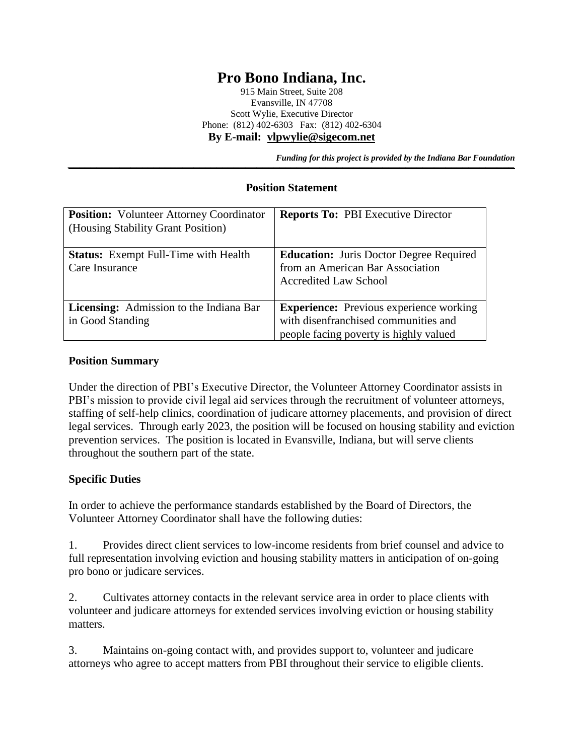# **Pro Bono Indiana, Inc.**

915 Main Street, Suite 208 Evansville, IN 47708 Scott Wylie, Executive Director Phone: (812) 402-6303 Fax: (812) 402-6304 **By E-mail: [vlpwylie@sigecom.net](mailto:vlpwylie@sigecom.net)**

*Funding for this project is provided by the Indiana Bar Foundation* 

#### **Position Statement**

| <b>Position:</b> Volunteer Attorney Coordinator<br>(Housing Stability Grant Position) | <b>Reports To: PBI Executive Director</b>                                                                                        |
|---------------------------------------------------------------------------------------|----------------------------------------------------------------------------------------------------------------------------------|
| <b>Status:</b> Exempt Full-Time with Health<br>Care Insurance                         | <b>Education:</b> Juris Doctor Degree Required<br>from an American Bar Association<br><b>Accredited Law School</b>               |
| Licensing: Admission to the Indiana Bar<br>in Good Standing                           | <b>Experience:</b> Previous experience working<br>with disenfranchised communities and<br>people facing poverty is highly valued |

#### **Position Summary**

Under the direction of PBI's Executive Director, the Volunteer Attorney Coordinator assists in PBI's mission to provide civil legal aid services through the recruitment of volunteer attorneys, staffing of self-help clinics, coordination of judicare attorney placements, and provision of direct legal services. Through early 2023, the position will be focused on housing stability and eviction prevention services. The position is located in Evansville, Indiana, but will serve clients throughout the southern part of the state.

#### **Specific Duties**

In order to achieve the performance standards established by the Board of Directors, the Volunteer Attorney Coordinator shall have the following duties:

1. Provides direct client services to low-income residents from brief counsel and advice to full representation involving eviction and housing stability matters in anticipation of on-going pro bono or judicare services.

2. Cultivates attorney contacts in the relevant service area in order to place clients with volunteer and judicare attorneys for extended services involving eviction or housing stability matters.

3. Maintains on-going contact with, and provides support to, volunteer and judicare attorneys who agree to accept matters from PBI throughout their service to eligible clients.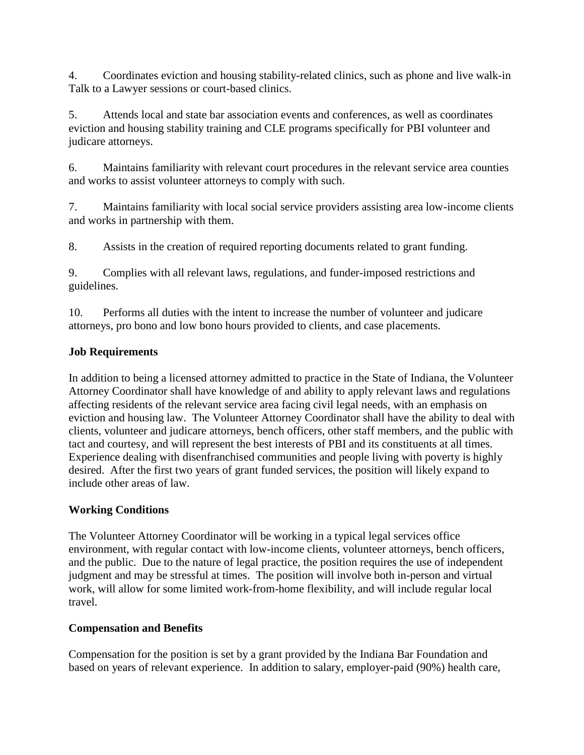4. Coordinates eviction and housing stability-related clinics, such as phone and live walk-in Talk to a Lawyer sessions or court-based clinics.

5. Attends local and state bar association events and conferences, as well as coordinates eviction and housing stability training and CLE programs specifically for PBI volunteer and judicare attorneys.

6. Maintains familiarity with relevant court procedures in the relevant service area counties and works to assist volunteer attorneys to comply with such.

7. Maintains familiarity with local social service providers assisting area low-income clients and works in partnership with them.

8. Assists in the creation of required reporting documents related to grant funding.

9. Complies with all relevant laws, regulations, and funder-imposed restrictions and guidelines.

10. Performs all duties with the intent to increase the number of volunteer and judicare attorneys, pro bono and low bono hours provided to clients, and case placements.

### **Job Requirements**

In addition to being a licensed attorney admitted to practice in the State of Indiana, the Volunteer Attorney Coordinator shall have knowledge of and ability to apply relevant laws and regulations affecting residents of the relevant service area facing civil legal needs, with an emphasis on eviction and housing law. The Volunteer Attorney Coordinator shall have the ability to deal with clients, volunteer and judicare attorneys, bench officers, other staff members, and the public with tact and courtesy, and will represent the best interests of PBI and its constituents at all times. Experience dealing with disenfranchised communities and people living with poverty is highly desired. After the first two years of grant funded services, the position will likely expand to include other areas of law.

## **Working Conditions**

The Volunteer Attorney Coordinator will be working in a typical legal services office environment, with regular contact with low-income clients, volunteer attorneys, bench officers, and the public. Due to the nature of legal practice, the position requires the use of independent judgment and may be stressful at times. The position will involve both in-person and virtual work, will allow for some limited work-from-home flexibility, and will include regular local travel.

## **Compensation and Benefits**

Compensation for the position is set by a grant provided by the Indiana Bar Foundation and based on years of relevant experience. In addition to salary, employer-paid (90%) health care,